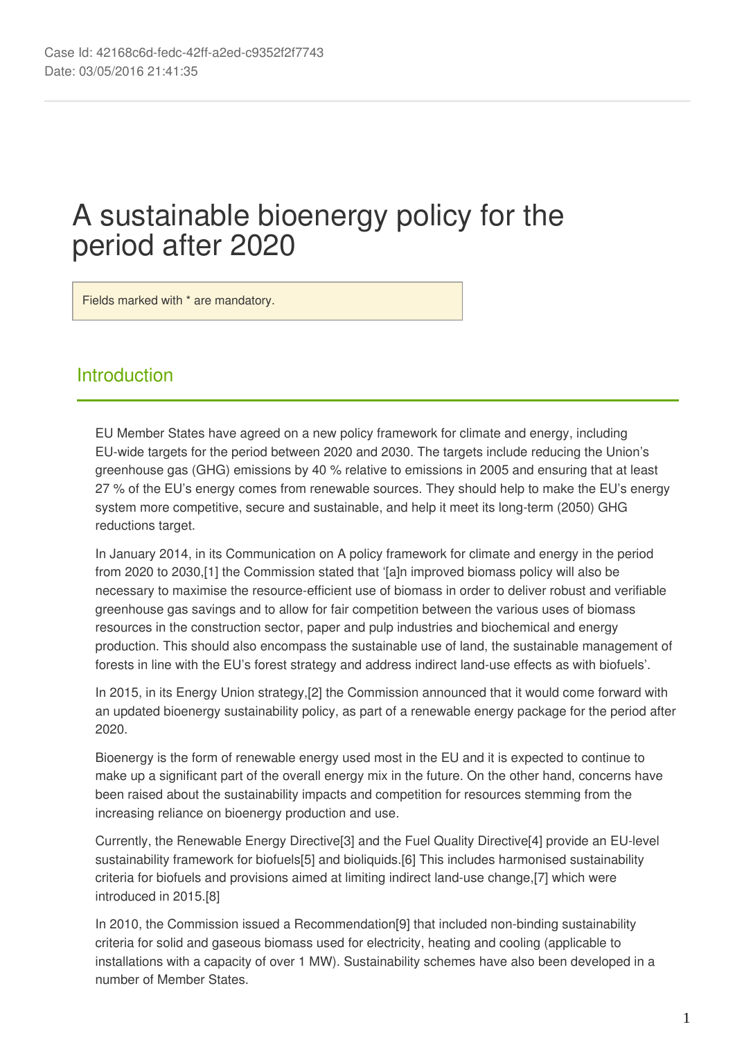# A sustainable bioenergy policy for the period after 2020

Fields marked with \* are mandatory.

## **Introduction**

EU Member States have agreed on a new policy framework for climate and energy, including EU‑wide targets for the period between 2020 and 2030. The targets include reducing the Union's greenhouse gas (GHG) emissions by 40 % relative to emissions in 2005 and ensuring that at least 27 % of the EU's energy comes from renewable sources. They should help to make the EU's energy system more competitive, secure and sustainable, and help it meet its long-term (2050) GHG reductions target.

In January 2014, in its Communication on A policy framework for climate and energy in the period from 2020 to 2030,[1] the Commission stated that '[a]n improved biomass policy will also be necessary to maximise the resource-efficient use of biomass in order to deliver robust and verifiable greenhouse gas savings and to allow for fair competition between the various uses of biomass resources in the construction sector, paper and pulp industries and biochemical and energy production. This should also encompass the sustainable use of land, the sustainable management of forests in line with the EU's forest strategy and address indirect land-use effects as with biofuels'.

In 2015, in its Energy Union strategy,[2] the Commission announced that it would come forward with an updated bioenergy sustainability policy, as part of a renewable energy package for the period after 2020.

Bioenergy is the form of renewable energy used most in the EU and it is expected to continue to make up a significant part of the overall energy mix in the future. On the other hand, concerns have been raised about the sustainability impacts and competition for resources stemming from the increasing reliance on bioenergy production and use.

Currently, the Renewable Energy Directive[3] and the Fuel Quality Directive[4] provide an EU‑level sustainability framework for biofuels[5] and bioliquids.[6] This includes harmonised sustainability criteria for biofuels and provisions aimed at limiting indirect land‑use change,[7] which were introduced in 2015.[8]

In 2010, the Commission issued a Recommendation[9] that included non-binding sustainability criteria for solid and gaseous biomass used for electricity, heating and cooling (applicable to installations with a capacity of over 1 MW). Sustainability schemes have also been developed in a number of Member States.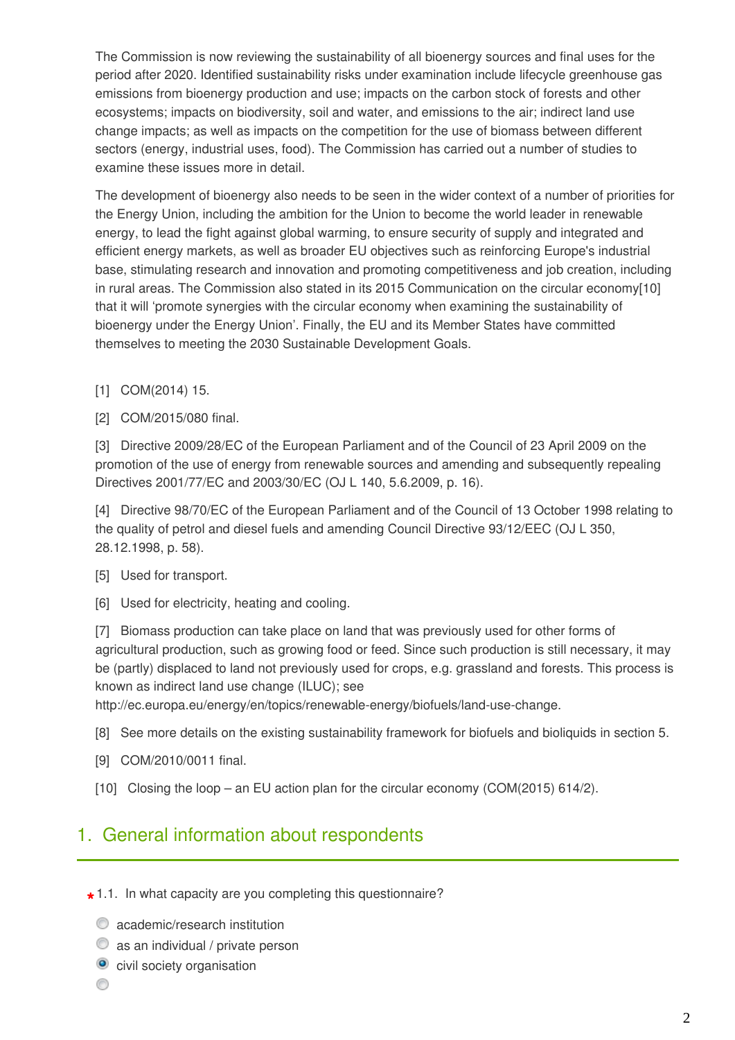The Commission is now reviewing the sustainability of all bioenergy sources and final uses for the period after 2020. Identified sustainability risks under examination include lifecycle greenhouse gas emissions from bioenergy production and use; impacts on the carbon stock of forests and other ecosystems; impacts on biodiversity, soil and water, and emissions to the air; indirect land use change impacts; as well as impacts on the competition for the use of biomass between different sectors (energy, industrial uses, food). The Commission has carried out a number of studies to examine these issues more in detail.

The development of bioenergy also needs to be seen in the wider context of a number of priorities for the Energy Union, including the ambition for the Union to become the world leader in renewable energy, to lead the fight against global warming, to ensure security of supply and integrated and efficient energy markets, as well as broader EU objectives such as reinforcing Europe's industrial base, stimulating research and innovation and promoting competitiveness and job creation, including in rural areas. The Commission also stated in its 2015 Communication on the circular economy[10] that it will 'promote synergies with the circular economy when examining the sustainability of bioenergy under the Energy Union'. Finally, the EU and its Member States have committed themselves to meeting the 2030 Sustainable Development Goals.

- [1] COM(2014) 15.
- [2] COM/2015/080 final.

[3] Directive 2009/28/EC of the European Parliament and of the Council of 23 April 2009 on the promotion of the use of energy from renewable sources and amending and subsequently repealing Directives 2001/77/EC and 2003/30/EC (OJ L 140, 5.6.2009, p. 16).

[4] Directive 98/70/EC of the European Parliament and of the Council of 13 October 1998 relating to the quality of petrol and diesel fuels and amending Council Directive 93/12/EEC (OJ L 350, 28.12.1998, p. 58).

- [5] Used for transport.
- [6] Used for electricity, heating and cooling.

[7] Biomass production can take place on land that was previously used for other forms of agricultural production, such as growing food or feed. Since such production is still necessary, it may be (partly) displaced to land not previously used for crops, e.g. grassland and forests. This process is known as indirect land use change (ILUC); see

http://ec.europa.eu/energy/en/topics/renewable-energy/biofuels/land-use-change.

- [8] See more details on the existing sustainability framework for biofuels and bioliquids in section 5.
- [9] COM/2010/0011 final.
- [10] Closing the loop an EU action plan for the circular economy (COM(2015) 614/2).

# 1. General information about respondents

- **\*** 1.1. In what capacity are you completing this questionnaire?
	- $\bullet$  academic/research institution
	- $\bullet$  as an individual / private person
	- **o** civil society organisation
	- 0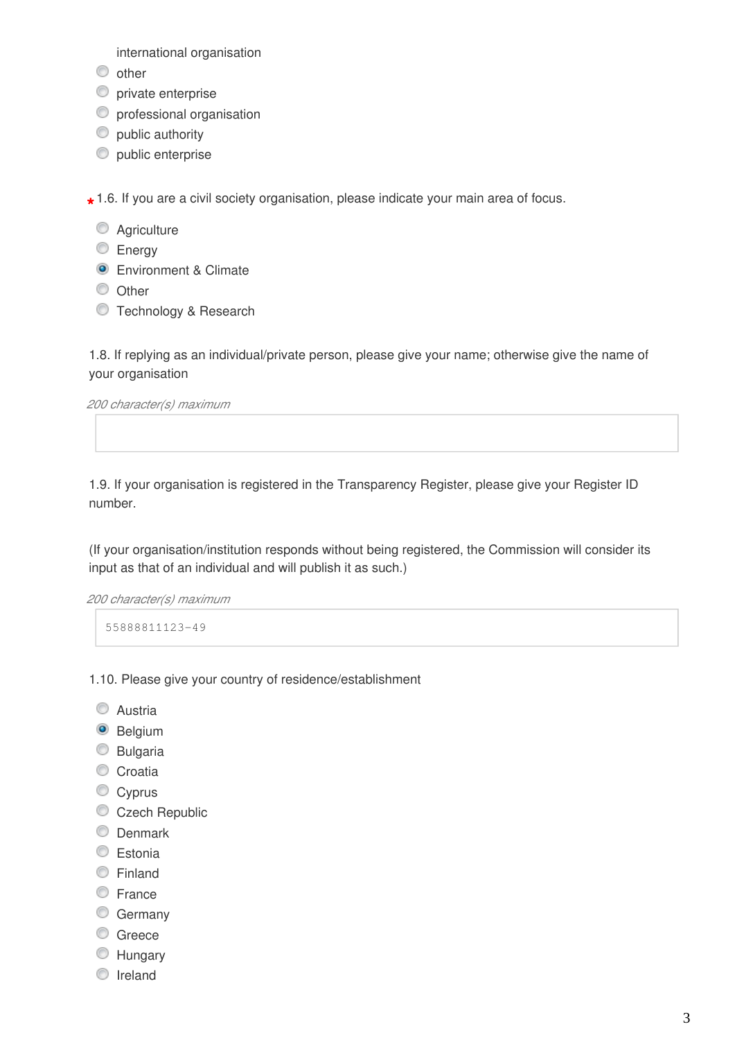international organisation

- $\circledcirc$  other
- **O** private enterprise
- **O** professional organisation
- $\bullet$  public authority
- $\bullet$  public enterprise

**\*** 1.6. If you are a civil society organisation, please indicate your main area of focus.

- **Agriculture**
- **Energy**
- **Environment & Climate**
- O Other
- **Technology & Research**

1.8. If replying as an individual/private person, please give your name; otherwise give the name of your organisation

*200 character(s) maximum*

1.9. If your organisation is registered in the Transparency Register, please give your Register ID number.

(If your organisation/institution responds without being registered, the Commission will consider its input as that of an individual and will publish it as such.)

*200 character(s) maximum*

55888811123-49

- 1.10. Please give your country of residence/establishment
	- C Austria
	- <sup>O</sup> Belgium
	- C Bulgaria
	- Croatia
	- Cyprus
	- Czech Republic
	- **O** Denmark
	- **Estonia**
	- Finland
	- **E**rance
	- **Germany**
	- C Greece
	- **Hungary**
	- **O** Ireland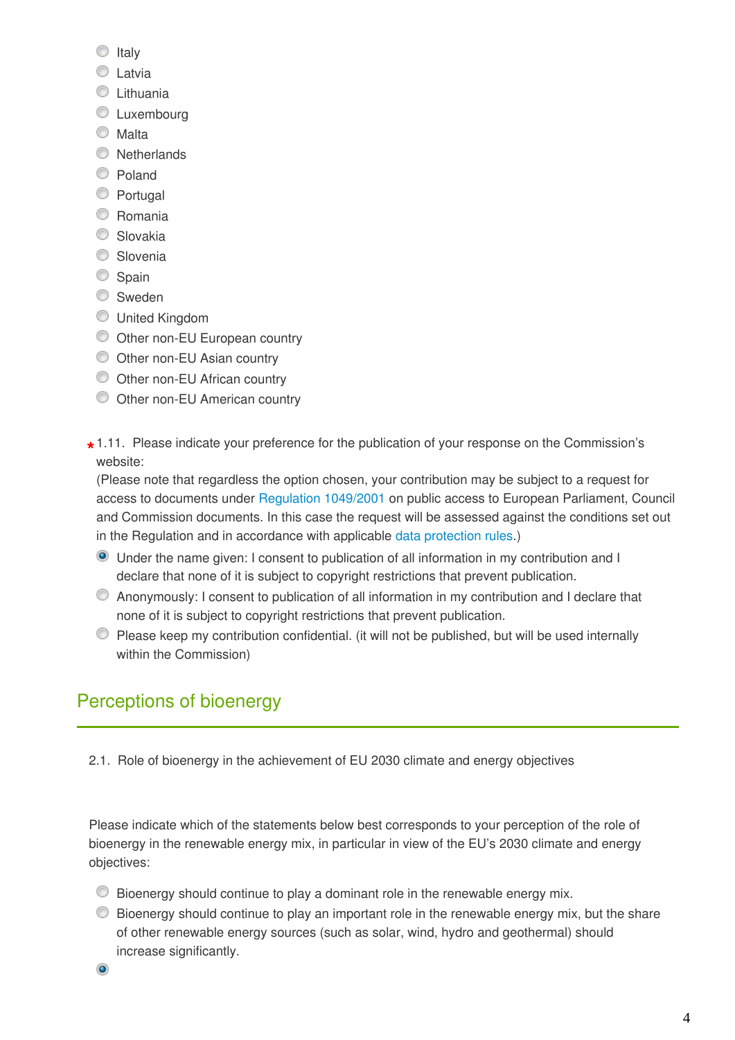- $\circ$  Italy
- **C** Latvia
- **C** Lithuania
- **C** Luxembourg
- Malta
- **Netherlands**
- C Poland
- **Portugal**
- C Romania
- C Slovakia
- C Slovenia
- Spain
- Sweden
- United Kingdom
- Other non-EU European country
- O Other non-EU Asian country
- Other non-EU African country
- Other non-EU American country
- **\*** 1.11. Please indicate your preference for the publication of your response on the Commission's website:

(Please note that regardless the option chosen, your contribution may be subject to a request for access to documents under [Regulation 1049/2001](http://eur-lex.europa.eu/legal-content/EN/TXT/?qid=1454925130412&uri=CELEX:32001R1049) on public access to European Parliament, Council and Commission documents. In this case the request will be assessed against the conditions set out in the Regulation and in accordance with applicable [data protection rules.](http://ec.europa.eu/justice/data-protection/))

- Under the name given: I consent to publication of all information in my contribution and I declare that none of it is subject to copyright restrictions that prevent publication.
- Anonymously: I consent to publication of all information in my contribution and I declare that none of it is subject to copyright restrictions that prevent publication.
- Please keep my contribution confidential. (it will not be published, but will be used internally within the Commission)

# Perceptions of bioenergy

2.1. Role of bioenergy in the achievement of EU 2030 climate and energy objectives

Please indicate which of the statements below best corresponds to your perception of the role of bioenergy in the renewable energy mix, in particular in view of the EU's 2030 climate and energy objectives:

- $\bullet$  Bioenergy should continue to play a dominant role in the renewable energy mix.
- $\bullet$  Bioenergy should continue to play an important role in the renewable energy mix, but the share of other renewable energy sources (such as solar, wind, hydro and geothermal) should increase significantly.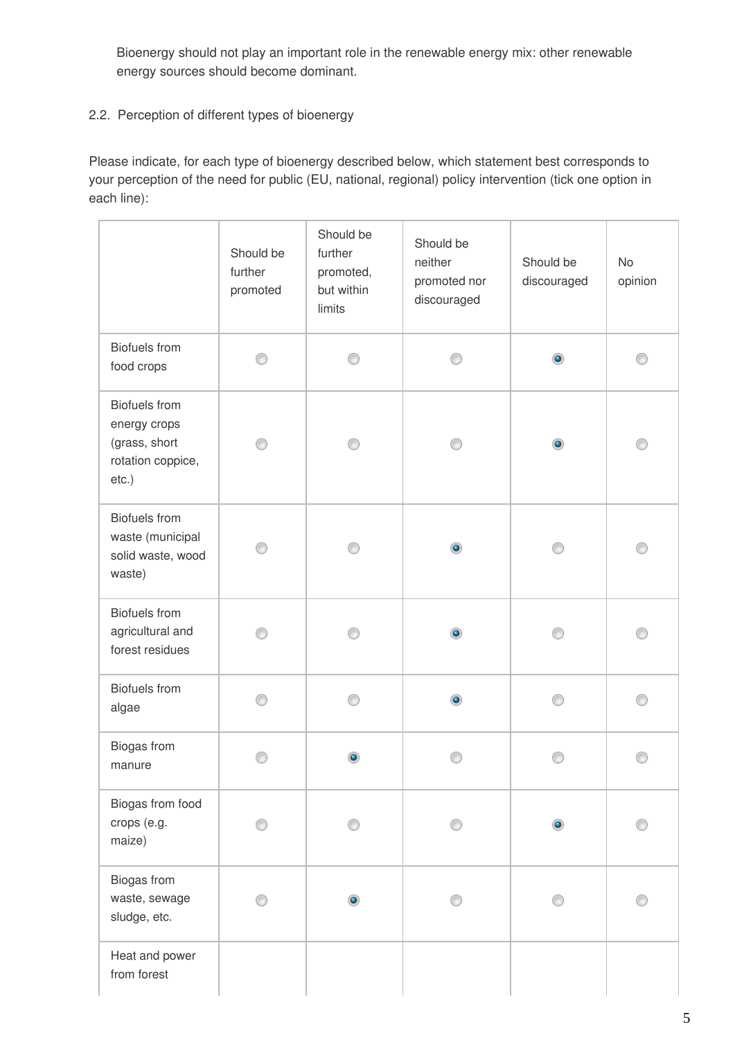Bioenergy should not play an important role in the renewable energy mix: other renewable energy sources should become dominant.

### 2.2. Perception of different types of bioenergy

Please indicate, for each type of bioenergy described below, which statement best corresponds to your perception of the need for public (EU, national, regional) policy intervention (tick one option in each line):

|                                                                                        | Should be<br>further<br>promoted | Should be<br>further<br>promoted,<br>but within<br>limits | Should be<br>neither<br>promoted nor<br>discouraged | Should be<br>discouraged | No<br>opinion |
|----------------------------------------------------------------------------------------|----------------------------------|-----------------------------------------------------------|-----------------------------------------------------|--------------------------|---------------|
| <b>Biofuels</b> from<br>food crops                                                     | ⊙                                | ⋒                                                         | ∩                                                   | ۰                        | ⊙             |
| <b>Biofuels</b> from<br>energy crops<br>(grass, short<br>rotation coppice,<br>$etc.$ ) |                                  | ∩                                                         | ⊙                                                   | ۰                        | ⊙             |
| <b>Biofuels</b> from<br>waste (municipal<br>solid waste, wood<br>waste)                |                                  | ∩                                                         | ۰                                                   | ∩                        | n             |
| <b>Biofuels</b> from<br>agricultural and<br>forest residues                            |                                  |                                                           | ۰                                                   |                          |               |
| <b>Biofuels</b> from<br>algae                                                          | ∩                                | ∩                                                         | ۰                                                   | e                        | ∩             |
| Biogas from<br>manure                                                                  |                                  |                                                           |                                                     |                          |               |
| Biogas from food<br>crops (e.g.<br>maize)                                              |                                  |                                                           |                                                     |                          |               |
| Biogas from<br>waste, sewage<br>sludge, etc.                                           |                                  | ۰                                                         |                                                     |                          |               |
| Heat and power<br>from forest                                                          |                                  |                                                           |                                                     |                          |               |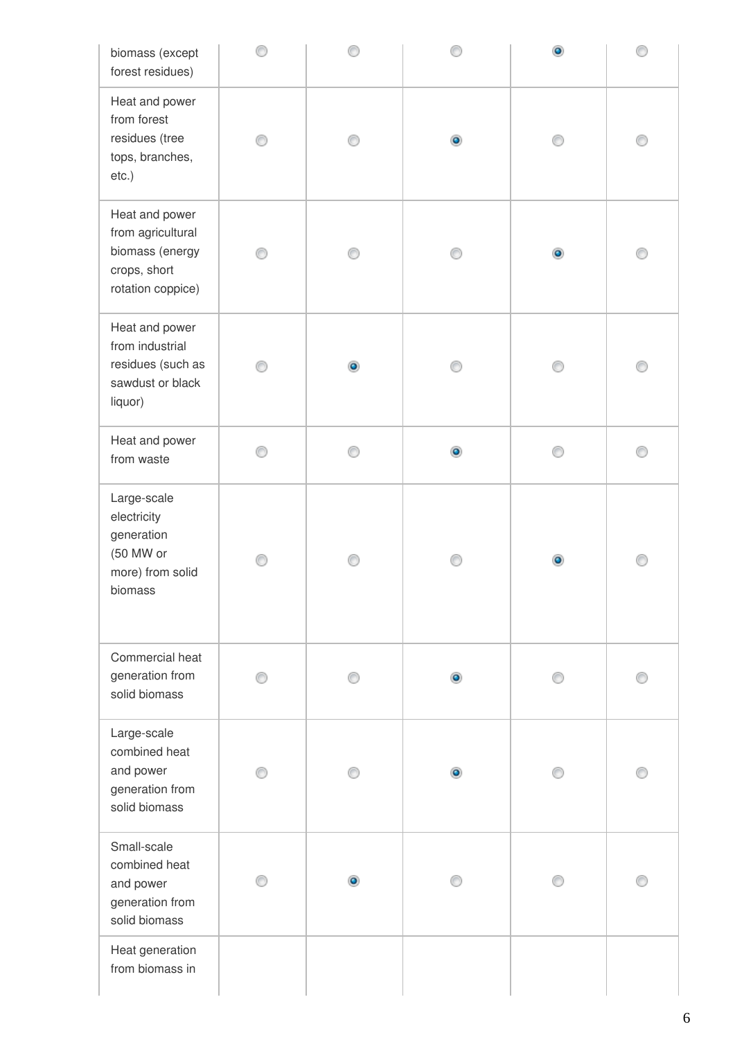| biomass (except<br>forest residues)                                                         |  |           | ۰         |  |
|---------------------------------------------------------------------------------------------|--|-----------|-----------|--|
| Heat and power<br>from forest<br>residues (tree<br>tops, branches,<br>etc.)                 |  | ۰         |           |  |
| Heat and power<br>from agricultural<br>biomass (energy<br>crops, short<br>rotation coppice) |  |           | $\bullet$ |  |
| Heat and power<br>from industrial<br>residues (such as<br>sawdust or black<br>liquor)       |  |           |           |  |
| Heat and power<br>from waste                                                                |  | $\bullet$ |           |  |
| Large-scale<br>electricity<br>generation<br>(50 MW or<br>more) from solid<br>biomass        |  |           |           |  |
| Commercial heat<br>generation from<br>solid biomass                                         |  | $\bullet$ |           |  |
| Large-scale<br>combined heat<br>and power<br>generation from<br>solid biomass               |  | $\bullet$ |           |  |
| Small-scale<br>combined heat<br>and power<br>generation from<br>solid biomass               |  |           |           |  |
| Heat generation<br>from biomass in                                                          |  |           |           |  |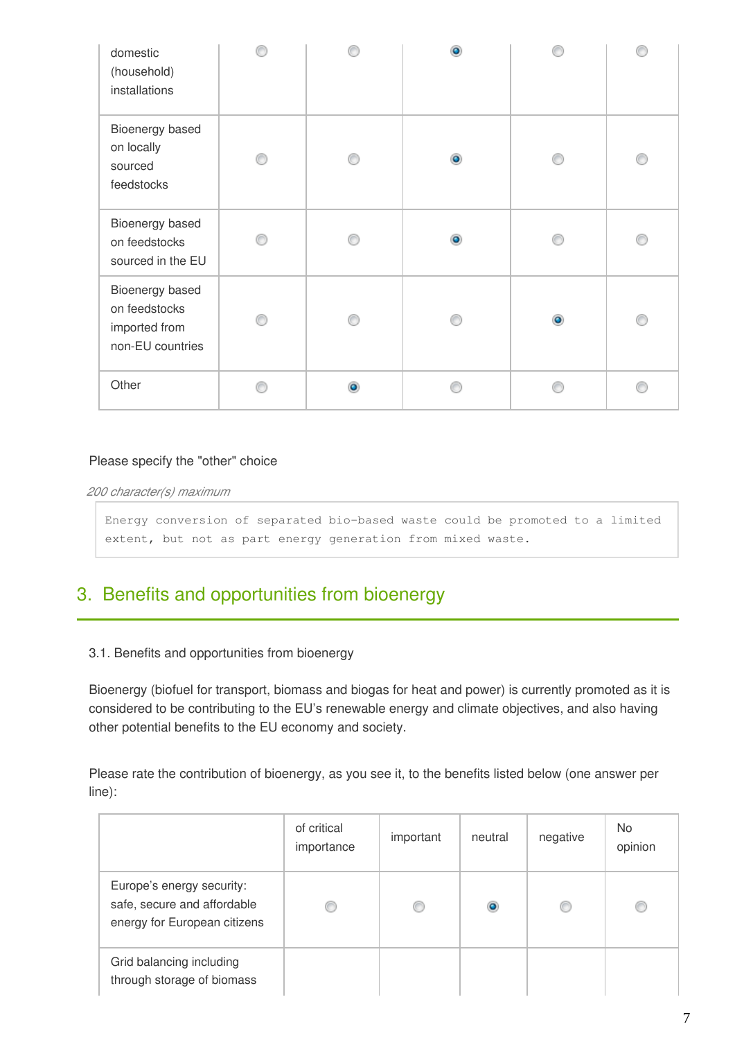| domestic<br>(household)<br>installations                              |  | ۵         |           |  |
|-----------------------------------------------------------------------|--|-----------|-----------|--|
| Bioenergy based<br>on locally<br>sourced<br>feedstocks                |  | $\bullet$ |           |  |
| Bioenergy based<br>on feedstocks<br>sourced in the EU                 |  | $\bullet$ |           |  |
| Bioenergy based<br>on feedstocks<br>imported from<br>non-EU countries |  |           | $\bullet$ |  |
| Other                                                                 |  |           |           |  |

*200 character(s) maximum*

Energy conversion of separated bio-based waste could be promoted to a limited extent, but not as part energy generation from mixed waste.

# 3. Benefits and opportunities from bioenergy

#### 3.1. Benefits and opportunities from bioenergy

Bioenergy (biofuel for transport, biomass and biogas for heat and power) is currently promoted as it is considered to be contributing to the EU's renewable energy and climate objectives, and also having other potential benefits to the EU economy and society.

Please rate the contribution of bioenergy, as you see it, to the benefits listed below (one answer per line):

|                                                                                          | of critical<br>importance | important | neutral   | negative | No.<br>opinion |
|------------------------------------------------------------------------------------------|---------------------------|-----------|-----------|----------|----------------|
| Europe's energy security:<br>safe, secure and affordable<br>energy for European citizens |                           |           | $\bullet$ | O        | O              |
| Grid balancing including<br>through storage of biomass                                   |                           |           |           |          |                |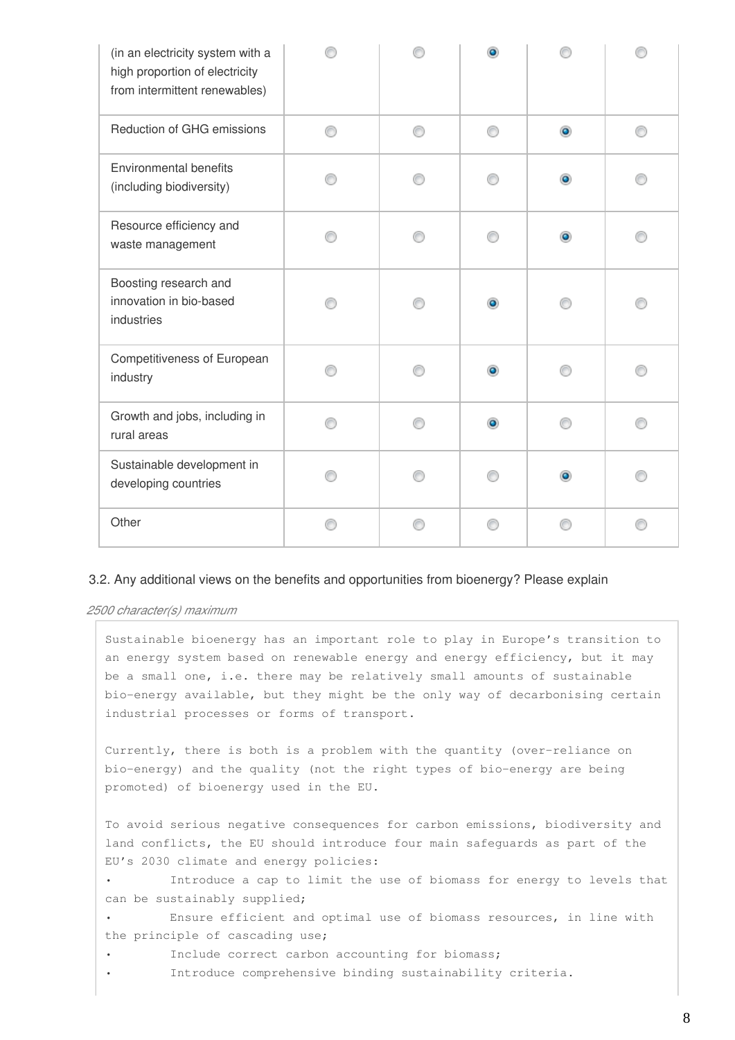| (in an electricity system with a<br>high proportion of electricity<br>from intermittent renewables) |   |   |           |           |   |
|-----------------------------------------------------------------------------------------------------|---|---|-----------|-----------|---|
| Reduction of GHG emissions                                                                          | ⋒ | ∩ | ⊙         | $\bullet$ | ⊙ |
| <b>Environmental benefits</b><br>(including biodiversity)                                           |   |   |           | $\bullet$ |   |
| Resource efficiency and<br>waste management                                                         |   |   |           | ۰         |   |
| Boosting research and<br>innovation in bio-based<br>industries                                      |   |   |           |           |   |
| Competitiveness of European<br>industry                                                             |   |   | $\bullet$ |           |   |
| Growth and jobs, including in<br>rural areas                                                        |   |   |           |           |   |
| Sustainable development in<br>developing countries                                                  |   |   |           | $\bullet$ |   |
| Other                                                                                               |   |   |           |           |   |

#### 3.2. Any additional views on the benefits and opportunities from bioenergy? Please explain

*2500 character(s) maximum*

Sustainable bioenergy has an important role to play in Europe's transition to an energy system based on renewable energy and energy efficiency, but it may be a small one, i.e. there may be relatively small amounts of sustainable bio-energy available, but they might be the only way of decarbonising certain industrial processes or forms of transport.

Currently, there is both is a problem with the quantity (over-reliance on bio-energy) and the quality (not the right types of bio-energy are being promoted) of bioenergy used in the EU.

To avoid serious negative consequences for carbon emissions, biodiversity and land conflicts, the EU should introduce four main safeguards as part of the EU's 2030 climate and energy policies:

Introduce a cap to limit the use of biomass for energy to levels that can be sustainably supplied;

Ensure efficient and optimal use of biomass resources, in line with the principle of cascading use;

- Include correct carbon accounting for biomass;
- Introduce comprehensive binding sustainability criteria.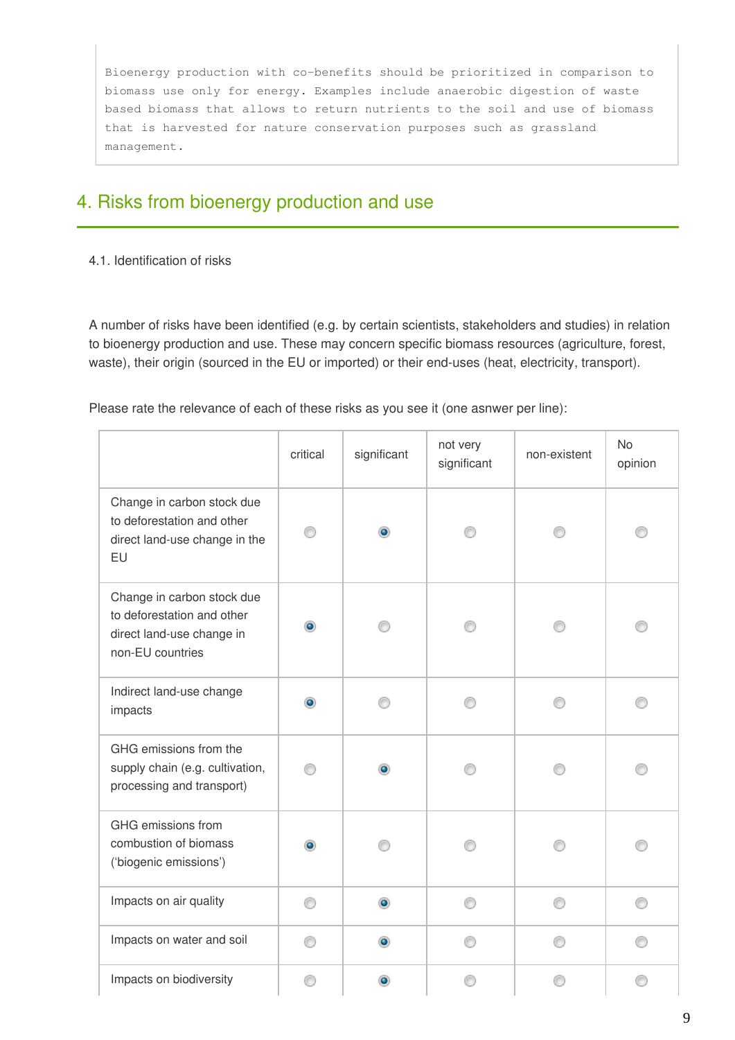Bioenergy production with co-benefits should be prioritized in comparison to biomass use only for energy. Examples include anaerobic digestion of waste based biomass that allows to return nutrients to the soil and use of biomass that is harvested for nature conservation purposes such as grassland management.

# 4. Risks from bioenergy production and use

#### 4.1. Identification of risks

A number of risks have been identified (e.g. by certain scientists, stakeholders and studies) in relation to bioenergy production and use. These may concern specific biomass resources (agriculture, forest, waste), their origin (sourced in the EU or imported) or their end-uses (heat, electricity, transport).

Please rate the relevance of each of these risks as you see it (one asnwer per line):

|                                                                                                           | critical | significant | not very<br>significant | non-existent | No<br>opinion |
|-----------------------------------------------------------------------------------------------------------|----------|-------------|-------------------------|--------------|---------------|
| Change in carbon stock due<br>to deforestation and other<br>direct land-use change in the<br>EU           |          | ۰           |                         |              |               |
| Change in carbon stock due<br>to deforestation and other<br>direct land-use change in<br>non-EU countries |          |             |                         |              |               |
| Indirect land-use change<br>impacts                                                                       |          |             | ⋒                       |              | ∩             |
| GHG emissions from the<br>supply chain (e.g. cultivation,<br>processing and transport)                    |          |             |                         |              |               |
| GHG emissions from<br>combustion of biomass<br>('biogenic emissions')                                     |          |             |                         |              |               |
| Impacts on air quality                                                                                    | ∩        | $\bullet$   | ∩                       | ⊙            | ⊙             |
| Impacts on water and soil                                                                                 |          | ۵           |                         |              | ⋒             |
| Impacts on biodiversity                                                                                   | ⋒        |             | ⋒                       |              | ⋒             |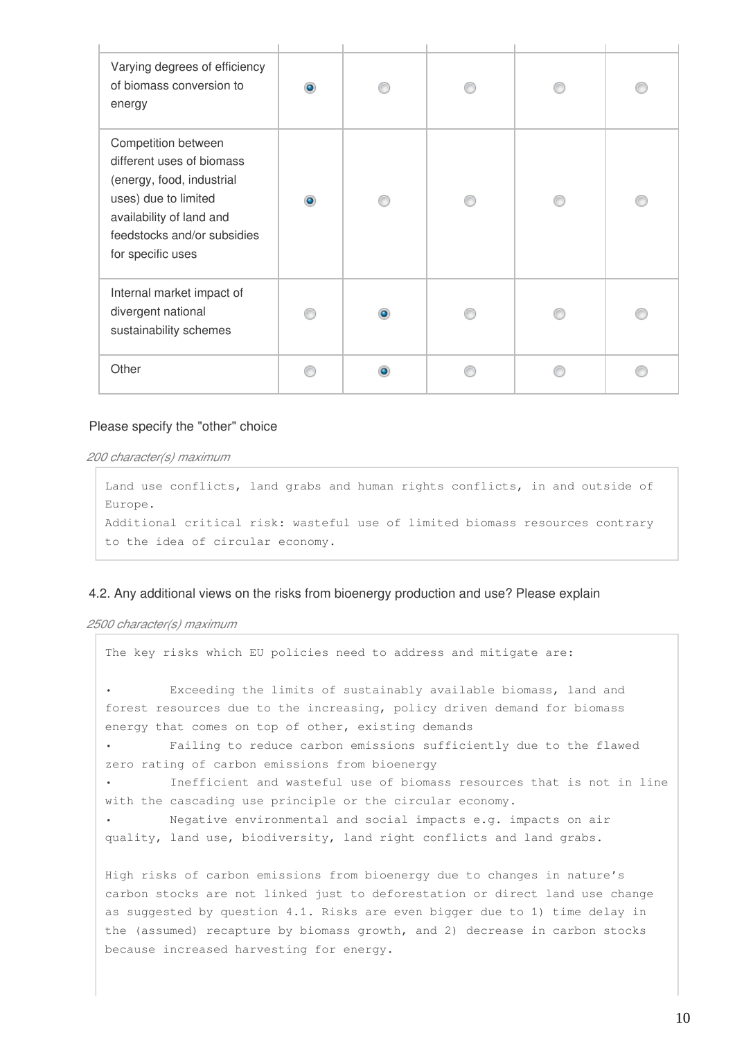| Varying degrees of efficiency<br>of biomass conversion to<br>energy                                                                                                                   |  |  |  |
|---------------------------------------------------------------------------------------------------------------------------------------------------------------------------------------|--|--|--|
| Competition between<br>different uses of biomass<br>(energy, food, industrial<br>uses) due to limited<br>availability of land and<br>feedstocks and/or subsidies<br>for specific uses |  |  |  |
| Internal market impact of<br>divergent national<br>sustainability schemes                                                                                                             |  |  |  |
| Other                                                                                                                                                                                 |  |  |  |

*200 character(s) maximum*

Land use conflicts, land grabs and human rights conflicts, in and outside of Europe. Additional critical risk: wasteful use of limited biomass resources contrary to the idea of circular economy.

#### 4.2. Any additional views on the risks from bioenergy production and use? Please explain

*2500 character(s) maximum*

```
The key risks which EU policies need to address and mitigate are: 
         Exceeding the limits of sustainably available biomass, land and
forest resources due to the increasing, policy driven demand for biomass
energy that comes on top of other, existing demands 
         • Failing to reduce carbon emissions sufficiently due to the flawed
zero rating of carbon emissions from bioenergy 
        • Inefficient and wasteful use of biomass resources that is not in line
with the cascading use principle or the circular economy. 
        • Negative environmental and social impacts e.g. impacts on air
quality, land use, biodiversity, land right conflicts and land grabs. 
High risks of carbon emissions from bioenergy due to changes in nature's
carbon stocks are not linked just to deforestation or direct land use change
as suggested by question 4.1. Risks are even bigger due to 1) time delay in
the (assumed) recapture by biomass growth, and 2) decrease in carbon stocks
because increased harvesting for energy.
```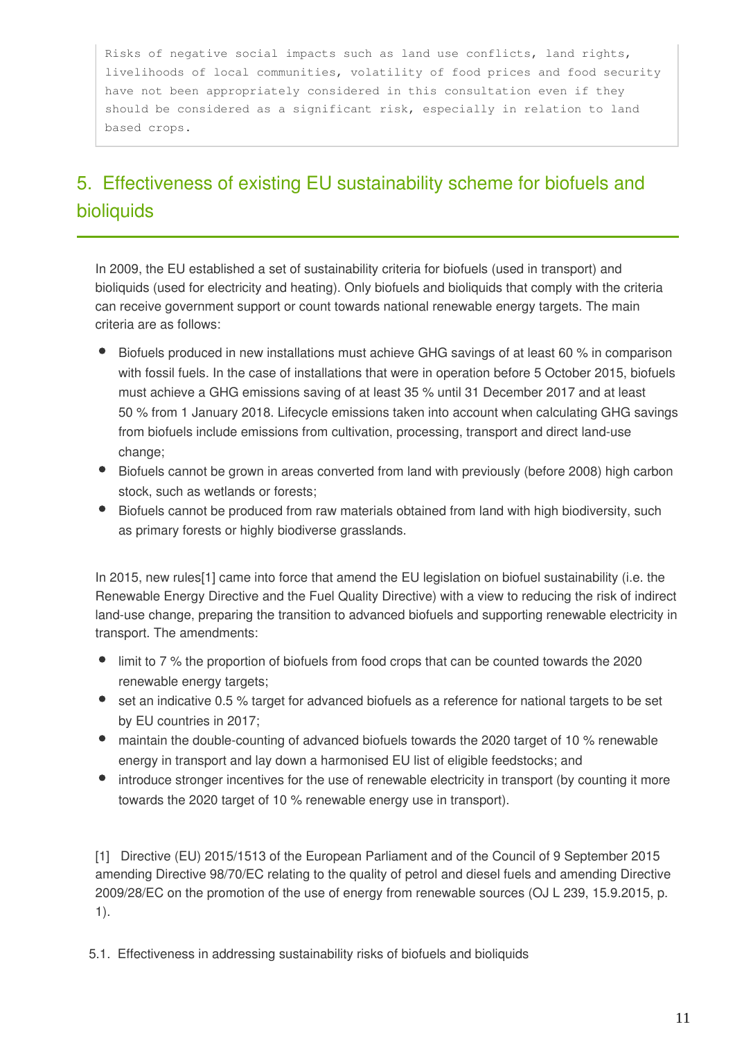Risks of negative social impacts such as land use conflicts, land rights, livelihoods of local communities, volatility of food prices and food security have not been appropriately considered in this consultation even if they should be considered as a significant risk, especially in relation to land based crops.

# 5. Effectiveness of existing EU sustainability scheme for biofuels and bioliquids

In 2009, the EU established a set of sustainability criteria for biofuels (used in transport) and bioliquids (used for electricity and heating). Only biofuels and bioliquids that comply with the criteria can receive government support or count towards national renewable energy targets. The main criteria are as follows:

- Biofuels produced in new installations must achieve GHG savings of at least 60 % in comparison with fossil fuels. In the case of installations that were in operation before 5 October 2015, biofuels must achieve a GHG emissions saving of at least 35 % until 31 December 2017 and at least 50 % from 1 January 2018. Lifecycle emissions taken into account when calculating GHG savings from biofuels include emissions from cultivation, processing, transport and direct land‑use change;
- Biofuels cannot be grown in areas converted from land with previously (before 2008) high carbon stock, such as wetlands or forests;
- Biofuels cannot be produced from raw materials obtained from land with high biodiversity, such as primary forests or highly biodiverse grasslands.

In 2015, new rules[1] came into force that amend the EU legislation on biofuel sustainability (i.e. the Renewable Energy Directive and the Fuel Quality Directive) with a view to reducing the risk of indirect land-use change, preparing the transition to advanced biofuels and supporting renewable electricity in transport. The amendments:

- limit to 7 % the proportion of biofuels from food crops that can be counted towards the 2020 renewable energy targets;
- set an indicative 0.5 % target for advanced biofuels as a reference for national targets to be set by EU countries in 2017;
- maintain the double-counting of advanced biofuels towards the 2020 target of 10 % renewable energy in transport and lay down a harmonised EU list of eligible feedstocks; and
- introduce stronger incentives for the use of renewable electricity in transport (by counting it more towards the 2020 target of 10 % renewable energy use in transport).

[1] Directive (EU) 2015/1513 of the European Parliament and of the Council of 9 September 2015 amending Directive 98/70/EC relating to the quality of petrol and diesel fuels and amending Directive 2009/28/EC on the promotion of the use of energy from renewable sources (OJ L 239, 15.9.2015, p. 1).

5.1. Effectiveness in addressing sustainability risks of biofuels and bioliquids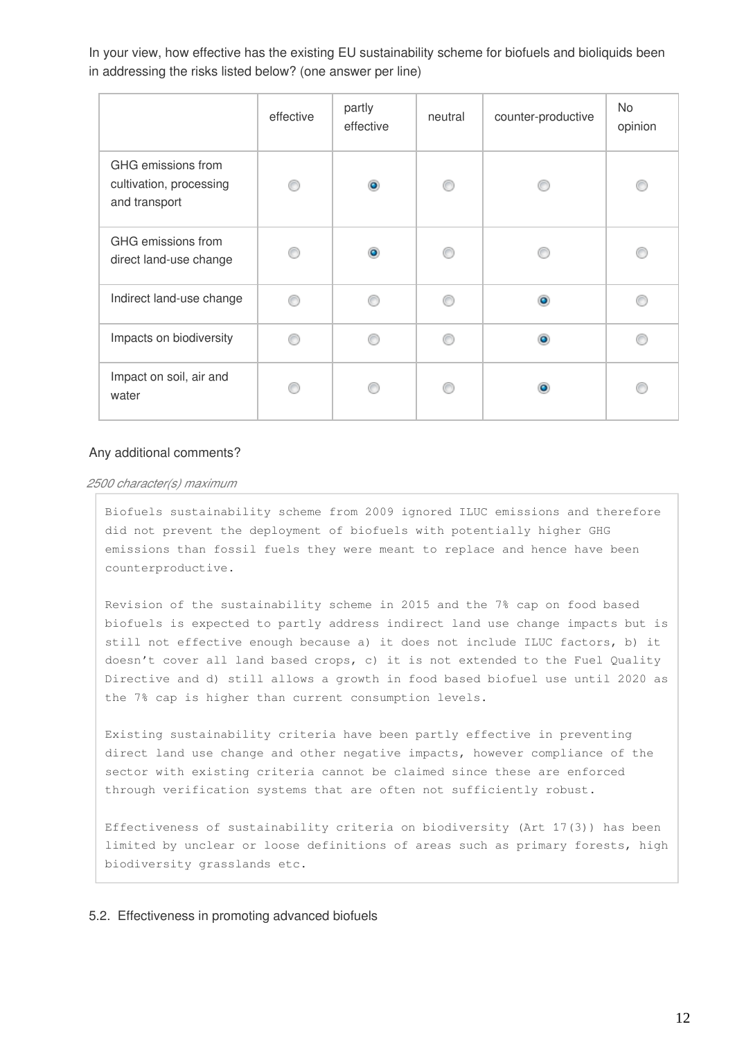In your view, how effective has the existing EU sustainability scheme for biofuels and bioliquids been in addressing the risks listed below? (one answer per line)

|                                                                | effective | partly<br>effective | neutral | counter-productive | No<br>opinion |
|----------------------------------------------------------------|-----------|---------------------|---------|--------------------|---------------|
| GHG emissions from<br>cultivation, processing<br>and transport |           | ۵                   |         |                    |               |
| GHG emissions from<br>direct land-use change                   |           | ۵                   |         |                    |               |
| Indirect land-use change                                       |           |                     |         |                    |               |
| Impacts on biodiversity                                        |           |                     |         |                    |               |
| Impact on soil, air and<br>water                               |           |                     |         |                    |               |

#### Any additional comments?

#### *2500 character(s) maximum*

Biofuels sustainability scheme from 2009 ignored ILUC emissions and therefore did not prevent the deployment of biofuels with potentially higher GHG emissions than fossil fuels they were meant to replace and hence have been counterproductive.

Revision of the sustainability scheme in 2015 and the 7% cap on food based biofuels is expected to partly address indirect land use change impacts but is still not effective enough because a) it does not include ILUC factors, b) it doesn't cover all land based crops, c) it is not extended to the Fuel Quality Directive and d) still allows a growth in food based biofuel use until 2020 as the 7% cap is higher than current consumption levels.

Existing sustainability criteria have been partly effective in preventing direct land use change and other negative impacts, however compliance of the sector with existing criteria cannot be claimed since these are enforced through verification systems that are often not sufficiently robust.

Effectiveness of sustainability criteria on biodiversity (Art 17(3)) has been limited by unclear or loose definitions of areas such as primary forests, high biodiversity grasslands etc.

#### 5.2. Effectiveness in promoting advanced biofuels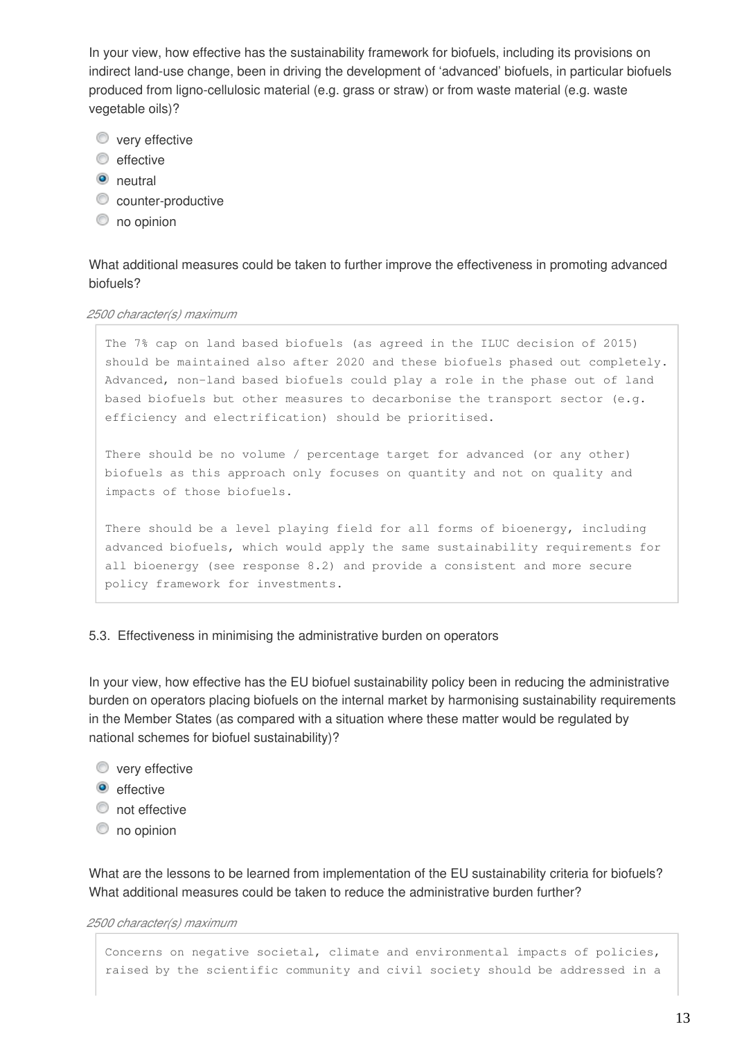In your view, how effective has the sustainability framework for biofuels, including its provisions on indirect land-use change, been in driving the development of 'advanced' biofuels, in particular biofuels produced from ligno-cellulosic material (e.g. grass or straw) or from waste material (e.g. waste vegetable oils)?

- **very effective**
- $\odot$  effective
- **O** neutral
- **C** counter-productive
- $\circledcirc$  no opinion

What additional measures could be taken to further improve the effectiveness in promoting advanced biofuels?

#### *2500 character(s) maximum*

The 7% cap on land based biofuels (as agreed in the ILUC decision of 2015) should be maintained also after 2020 and these biofuels phased out completely. Advanced, non-land based biofuels could play a role in the phase out of land based biofuels but other measures to decarbonise the transport sector (e.g. efficiency and electrification) should be prioritised.

There should be no volume / percentage target for advanced (or any other) biofuels as this approach only focuses on quantity and not on quality and impacts of those biofuels.

There should be a level playing field for all forms of bioenergy, including advanced biofuels, which would apply the same sustainability requirements for all bioenergy (see response 8.2) and provide a consistent and more secure policy framework for investments.

#### 5.3. Effectiveness in minimising the administrative burden on operators

In your view, how effective has the EU biofuel sustainability policy been in reducing the administrative burden on operators placing biofuels on the internal market by harmonising sustainability requirements in the Member States (as compared with a situation where these matter would be regulated by national schemes for biofuel sustainability)?

- **very effective**
- $\bullet$  effective
- **O** not effective
- $\circledcirc$  no opinion

What are the lessons to be learned from implementation of the EU sustainability criteria for biofuels? What additional measures could be taken to reduce the administrative burden further?

#### *2500 character(s) maximum*

Concerns on negative societal, climate and environmental impacts of policies, raised by the scientific community and civil society should be addressed in a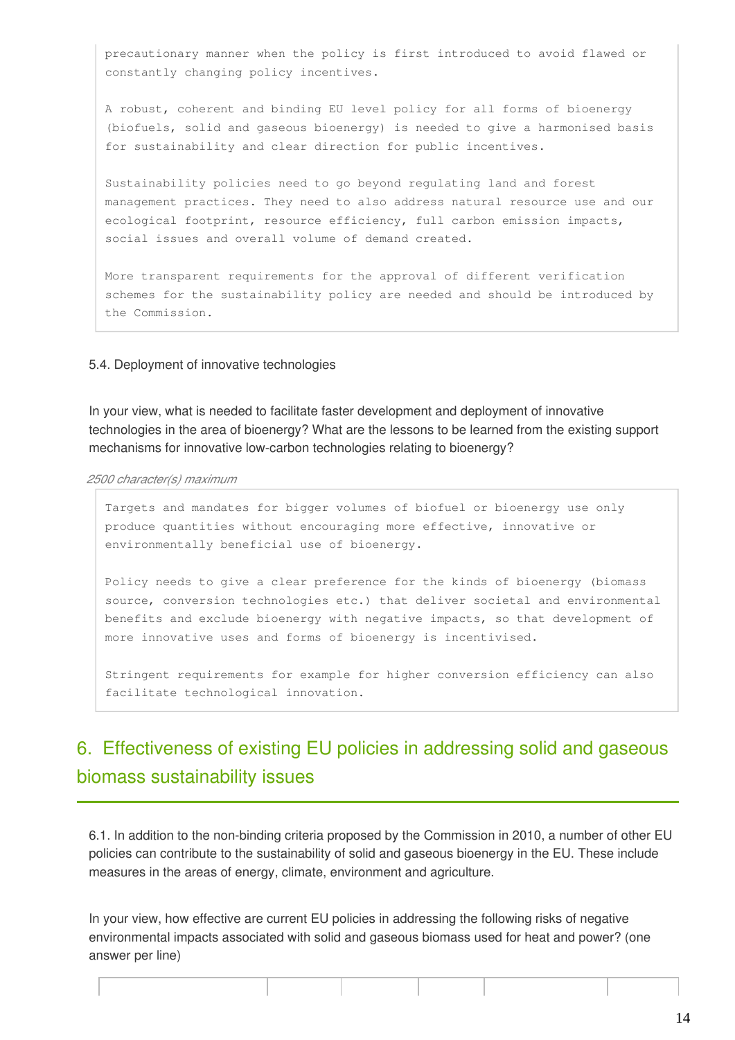precautionary manner when the policy is first introduced to avoid flawed or constantly changing policy incentives.

A robust, coherent and binding EU level policy for all forms of bioenergy (biofuels, solid and gaseous bioenergy) is needed to give a harmonised basis for sustainability and clear direction for public incentives.

Sustainability policies need to go beyond regulating land and forest management practices. They need to also address natural resource use and our ecological footprint, resource efficiency, full carbon emission impacts, social issues and overall volume of demand created.

More transparent requirements for the approval of different verification schemes for the sustainability policy are needed and should be introduced by the Commission.

#### 5.4. Deployment of innovative technologies

In your view, what is needed to facilitate faster development and deployment of innovative technologies in the area of bioenergy? What are the lessons to be learned from the existing support mechanisms for innovative low-carbon technologies relating to bioenergy?

*2500 character(s) maximum*

Targets and mandates for bigger volumes of biofuel or bioenergy use only produce quantities without encouraging more effective, innovative or environmentally beneficial use of bioenergy.

Policy needs to give a clear preference for the kinds of bioenergy (biomass source, conversion technologies etc.) that deliver societal and environmental benefits and exclude bioenergy with negative impacts, so that development of more innovative uses and forms of bioenergy is incentivised.

Stringent requirements for example for higher conversion efficiency can also facilitate technological innovation.

# 6. Effectiveness of existing EU policies in addressing solid and gaseous biomass sustainability issues

6.1. In addition to the non-binding criteria proposed by the Commission in 2010, a number of other EU policies can contribute to the sustainability of solid and gaseous bioenergy in the EU. These include measures in the areas of energy, climate, environment and agriculture.

In your view, how effective are current EU policies in addressing the following risks of negative environmental impacts associated with solid and gaseous biomass used for heat and power? (one answer per line)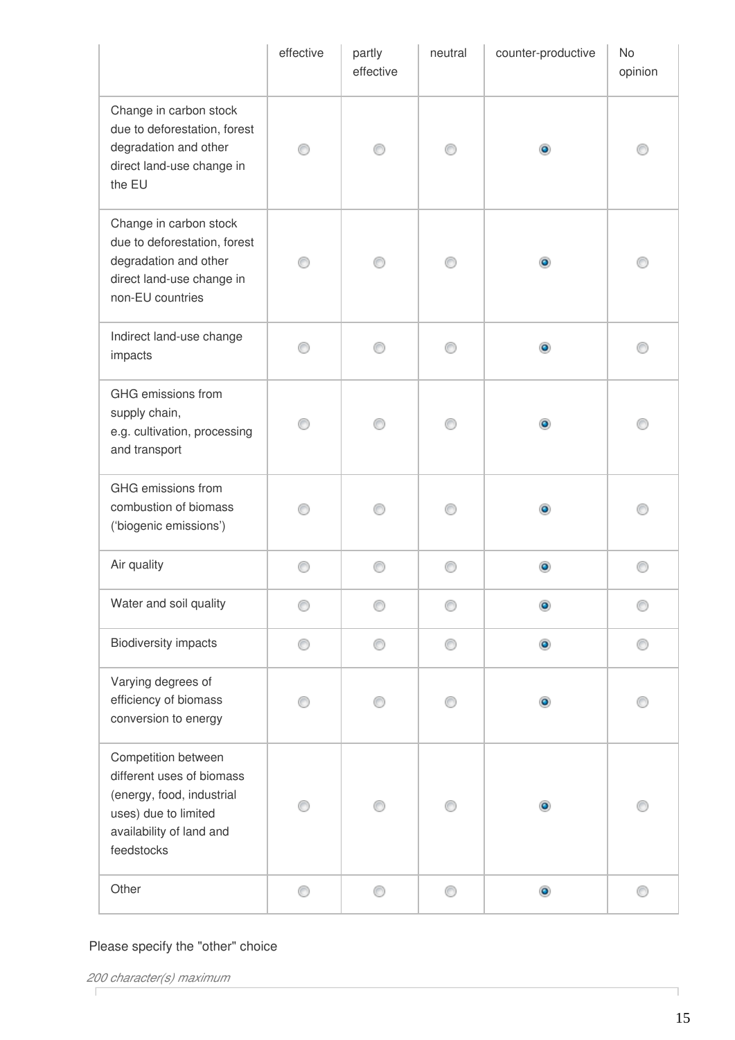|                                                                                                                                                 | effective | partly<br>effective | neutral | counter-productive | <b>No</b><br>opinion |
|-------------------------------------------------------------------------------------------------------------------------------------------------|-----------|---------------------|---------|--------------------|----------------------|
| Change in carbon stock<br>due to deforestation, forest<br>degradation and other<br>direct land-use change in<br>the EU                          |           |                     |         | $\bullet$          |                      |
| Change in carbon stock<br>due to deforestation, forest<br>degradation and other<br>direct land-use change in<br>non-EU countries                |           |                     | 0       | $\bullet$          |                      |
| Indirect land-use change<br>impacts                                                                                                             |           |                     | ∩       | $\bullet$          |                      |
| GHG emissions from<br>supply chain,<br>e.g. cultivation, processing<br>and transport                                                            |           |                     |         | $\bullet$          |                      |
| GHG emissions from<br>combustion of biomass<br>('biogenic emissions')                                                                           |           |                     |         |                    |                      |
| Air quality                                                                                                                                     | ⊙         | ⊙                   | ∩       | $\bullet$          | ⊙                    |
| Water and soil quality                                                                                                                          |           |                     |         | $\bullet$          |                      |
| <b>Biodiversity impacts</b>                                                                                                                     | ⊙         | ⊙                   | ⊙       | $\bullet$          | ⊙                    |
| Varying degrees of<br>efficiency of biomass<br>conversion to energy                                                                             |           |                     |         |                    |                      |
| Competition between<br>different uses of biomass<br>(energy, food, industrial<br>uses) due to limited<br>availability of land and<br>feedstocks |           |                     |         |                    |                      |
| Other                                                                                                                                           | ⊙         | ⊙                   | ⊙       | $_{\odot}$         | ⊙                    |

ī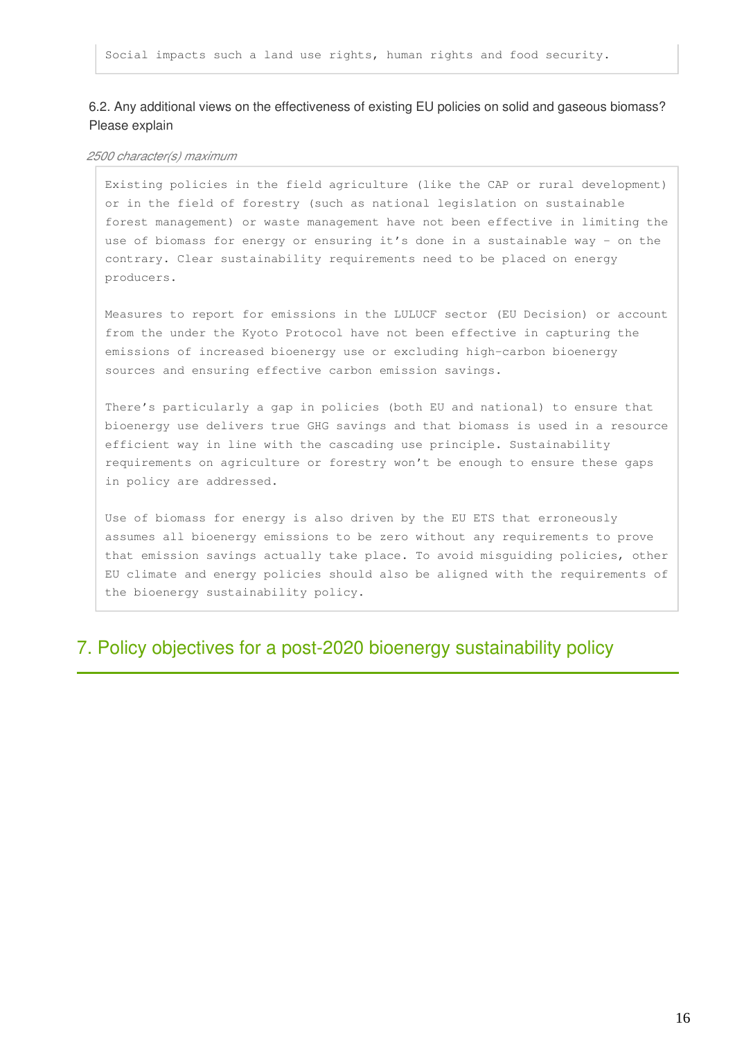#### 6.2. Any additional views on the effectiveness of existing EU policies on solid and gaseous biomass? Please explain

#### *2500 character(s) maximum*

Existing policies in the field agriculture (like the CAP or rural development) or in the field of forestry (such as national legislation on sustainable forest management) or waste management have not been effective in limiting the use of biomass for energy or ensuring it's done in a sustainable way - on the contrary. Clear sustainability requirements need to be placed on energy producers.

Measures to report for emissions in the LULUCF sector (EU Decision) or account from the under the Kyoto Protocol have not been effective in capturing the emissions of increased bioenergy use or excluding high-carbon bioenergy sources and ensuring effective carbon emission savings.

There's particularly a gap in policies (both EU and national) to ensure that bioenergy use delivers true GHG savings and that biomass is used in a resource efficient way in line with the cascading use principle. Sustainability requirements on agriculture or forestry won't be enough to ensure these gaps in policy are addressed.

Use of biomass for energy is also driven by the EU ETS that erroneously assumes all bioenergy emissions to be zero without any requirements to prove that emission savings actually take place. To avoid misguiding policies, other EU climate and energy policies should also be aligned with the requirements of the bioenergy sustainability policy.

### 7. Policy objectives for a post-2020 bioenergy sustainability policy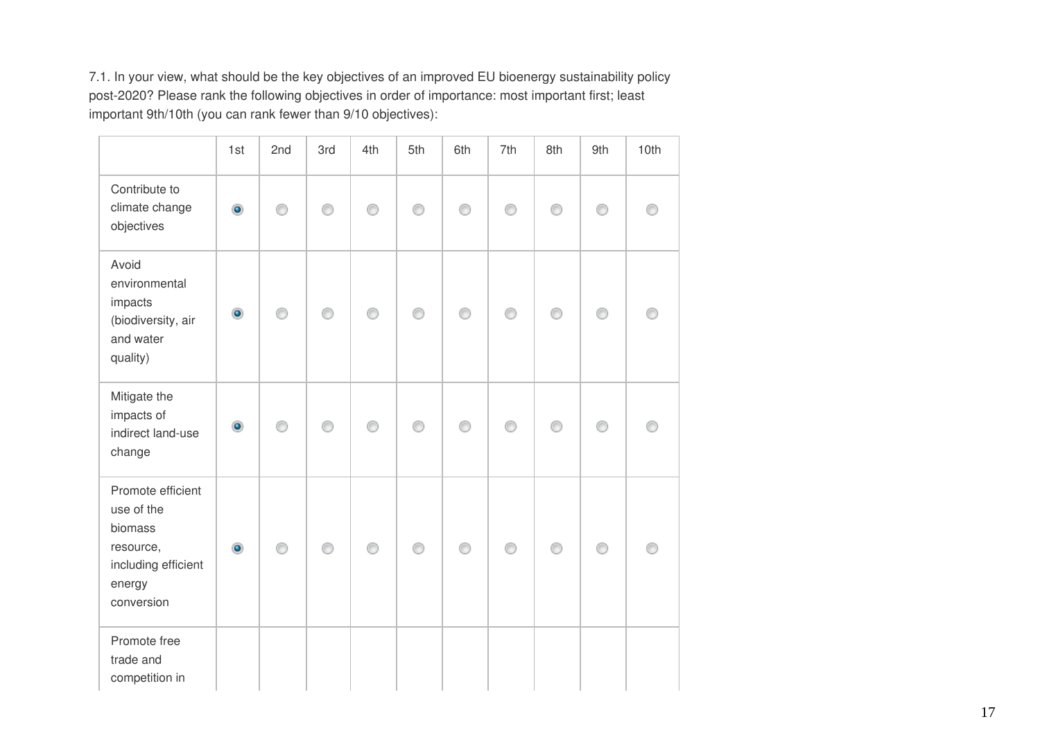7.1. In your view, what should be the key objectives of an improved EU bioenergy sustainability policy post-2020? Please rank the following objectives in order of importance: most important first; least important 9th/10th (you can rank fewer than 9/10 objectives):

|                                                                                                        | 1st            | 2nd | 3rd | 4th | 5th | 6th | 7th | 8th | 9th | 10th |
|--------------------------------------------------------------------------------------------------------|----------------|-----|-----|-----|-----|-----|-----|-----|-----|------|
| Contribute to<br>climate change<br>objectives                                                          | $\bullet$      | ∩   | ⊙   | ∩   | ∩   | ∩   | ∩   | ⊙   | ⊙   |      |
| Avoid<br>environmental<br>impacts<br>(biodiversity, air<br>and water<br>quality)                       | $\bullet$      | ⊙   | ⊙   | ⊙   | ⊙   | ∩   | ∩   | ⊙   | ⊙   |      |
| Mitigate the<br>impacts of<br>indirect land-use<br>change                                              | $\circledcirc$ | ⋒   | ∩   | ⊙   | ∩   |     |     | ⋒   |     |      |
| Promote efficient<br>use of the<br>biomass<br>resource,<br>including efficient<br>energy<br>conversion | $\bullet$      | ⊙   | ∩   | ∩   | ⊙   | ⋒   | ∩   | ⊙   | ⊙   |      |
| Promote free<br>trade and<br>competition in                                                            |                |     |     |     |     |     |     |     |     |      |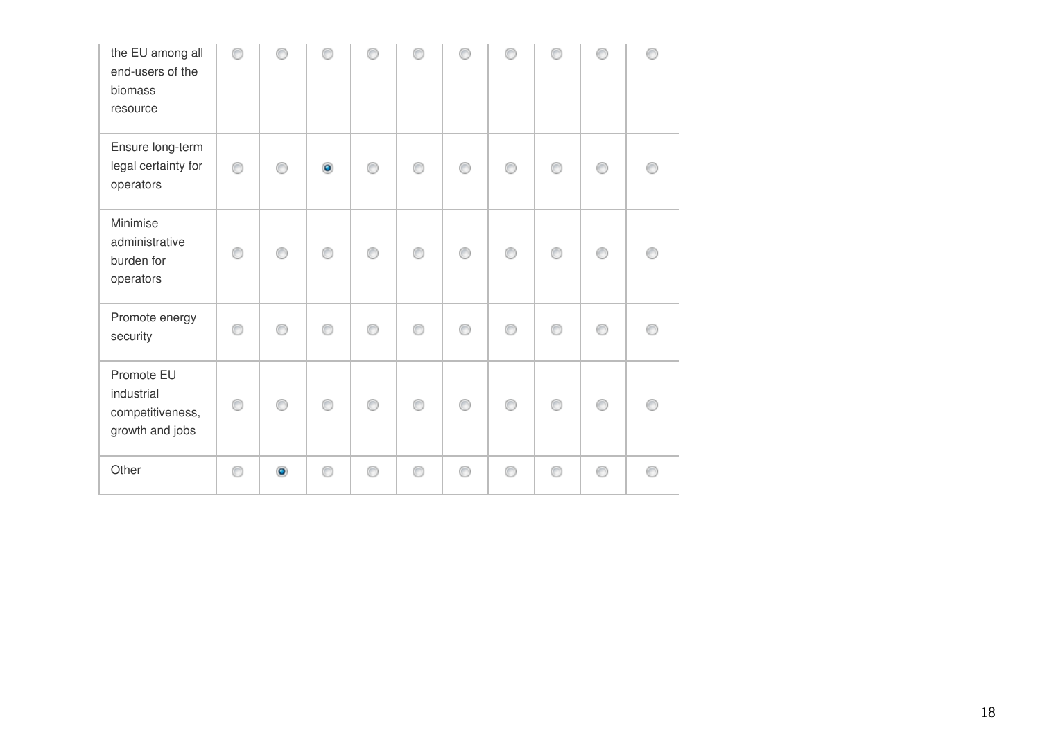| the EU among all<br>end-users of the<br>biomass<br>resource     |    |           |           |   |   |   |   |   |  |
|-----------------------------------------------------------------|----|-----------|-----------|---|---|---|---|---|--|
| Ensure long-term<br>legal certainty for<br>operators            | ◉  |           | $\bullet$ |   |   |   |   |   |  |
| Minimise<br>administrative<br>burden for<br>operators           | ∩  | ⋒         | ∩         | ⋒ | ⋒ | ⋒ | ⋒ | ⋒ |  |
| Promote energy<br>security                                      | O. |           |           |   |   |   |   |   |  |
| Promote EU<br>industrial<br>competitiveness,<br>growth and jobs | ⊙  |           |           |   |   |   |   |   |  |
| Other                                                           | ⊙  | $\bullet$ |           |   |   |   |   |   |  |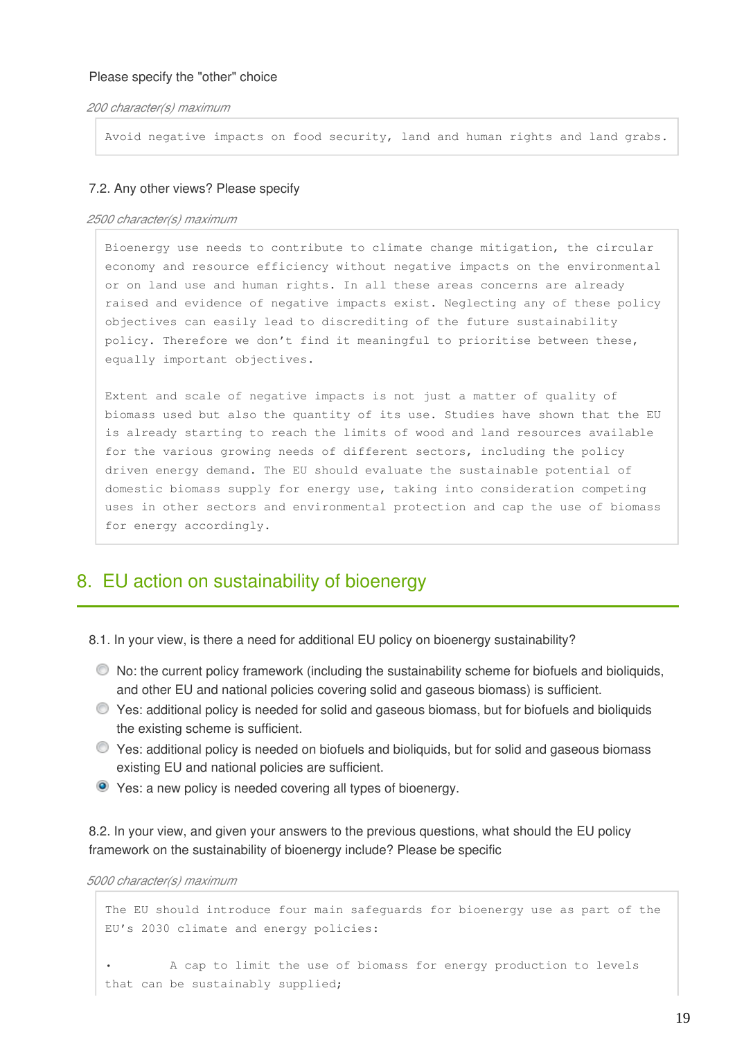*200 character(s) maximum*

Avoid negative impacts on food security, land and human rights and land grabs.

#### 7.2. Any other views? Please specify

#### *2500 character(s) maximum*

Bioenergy use needs to contribute to climate change mitigation, the circular economy and resource efficiency without negative impacts on the environmental or on land use and human rights. In all these areas concerns are already raised and evidence of negative impacts exist. Neglecting any of these policy objectives can easily lead to discrediting of the future sustainability policy. Therefore we don't find it meaningful to prioritise between these, equally important objectives.

Extent and scale of negative impacts is not just a matter of quality of biomass used but also the quantity of its use. Studies have shown that the EU is already starting to reach the limits of wood and land resources available for the various growing needs of different sectors, including the policy driven energy demand. The EU should evaluate the sustainable potential of domestic biomass supply for energy use, taking into consideration competing uses in other sectors and environmental protection and cap the use of biomass for energy accordingly.

## 8. EU action on sustainability of bioenergy

8.1. In your view, is there a need for additional EU policy on bioenergy sustainability?

- $\bullet$  No: the current policy framework (including the sustainability scheme for biofuels and bioliquids, and other EU and national policies covering solid and gaseous biomass) is sufficient.
- Yes: additional policy is needed for solid and gaseous biomass, but for biofuels and bioliquids the existing scheme is sufficient.
- Yes: additional policy is needed on biofuels and bioliquids, but for solid and gaseous biomass existing EU and national policies are sufficient.
- Yes: a new policy is needed covering all types of bioenergy.

8.2. In your view, and given your answers to the previous questions, what should the EU policy framework on the sustainability of bioenergy include? Please be specific

*5000 character(s) maximum*

```
The EU should introduce four main safeguards for bioenergy use as part of the
EU's 2030 climate and energy policies:
         • A cap to limit the use of biomass for energy production to levels
that can be sustainably supplied;
```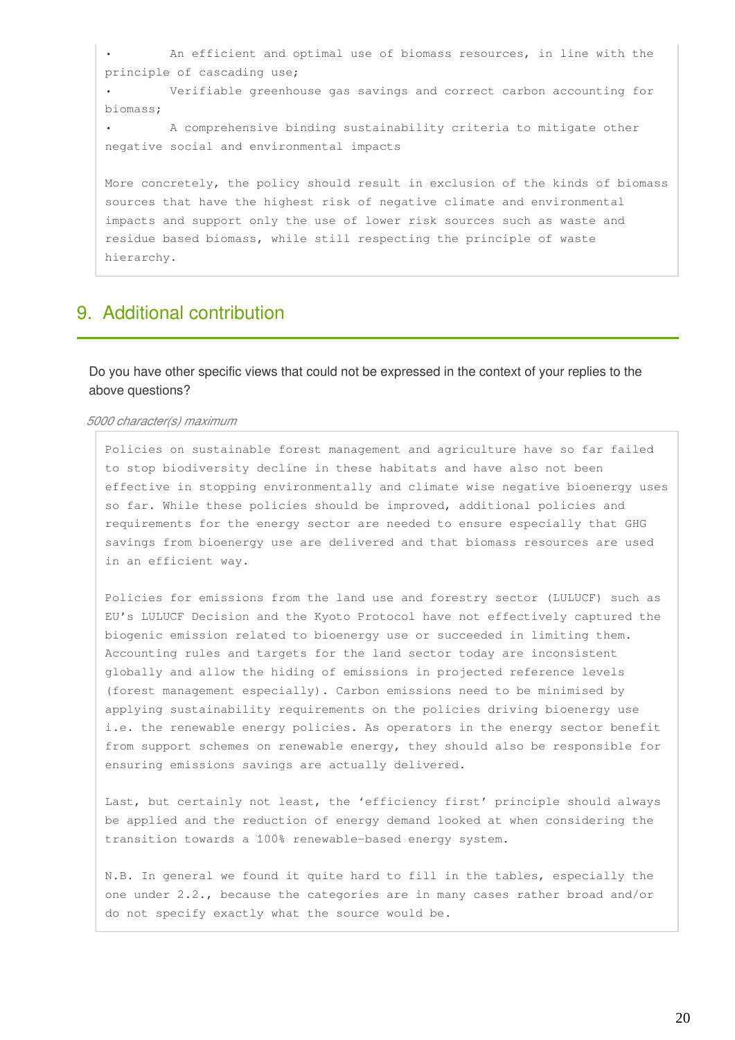An efficient and optimal use of biomass resources, in line with the principle of cascading use; Verifiable greenhouse gas savings and correct carbon accounting for biomass; • A comprehensive binding sustainability criteria to mitigate other negative social and environmental impacts More concretely, the policy should result in exclusion of the kinds of biomass sources that have the highest risk of negative climate and environmental impacts and support only the use of lower risk sources such as waste and residue based biomass, while still respecting the principle of waste hierarchy.

### 9. Additional contribution

Do you have other specific views that could not be expressed in the context of your replies to the above questions?

#### *5000 character(s) maximum*

Policies on sustainable forest management and agriculture have so far failed to stop biodiversity decline in these habitats and have also not been effective in stopping environmentally and climate wise negative bioenergy uses so far. While these policies should be improved, additional policies and requirements for the energy sector are needed to ensure especially that GHG savings from bioenergy use are delivered and that biomass resources are used in an efficient way.

Policies for emissions from the land use and forestry sector (LULUCF) such as EU's LULUCF Decision and the Kyoto Protocol have not effectively captured the biogenic emission related to bioenergy use or succeeded in limiting them. Accounting rules and targets for the land sector today are inconsistent globally and allow the hiding of emissions in projected reference levels (forest management especially). Carbon emissions need to be minimised by applying sustainability requirements on the policies driving bioenergy use i.e. the renewable energy policies. As operators in the energy sector benefit from support schemes on renewable energy, they should also be responsible for ensuring emissions savings are actually delivered.

Last, but certainly not least, the 'efficiency first' principle should always be applied and the reduction of energy demand looked at when considering the transition towards a 100% renewable-based energy system.

N.B. In general we found it quite hard to fill in the tables, especially the one under 2.2., because the categories are in many cases rather broad and/or do not specify exactly what the source would be.